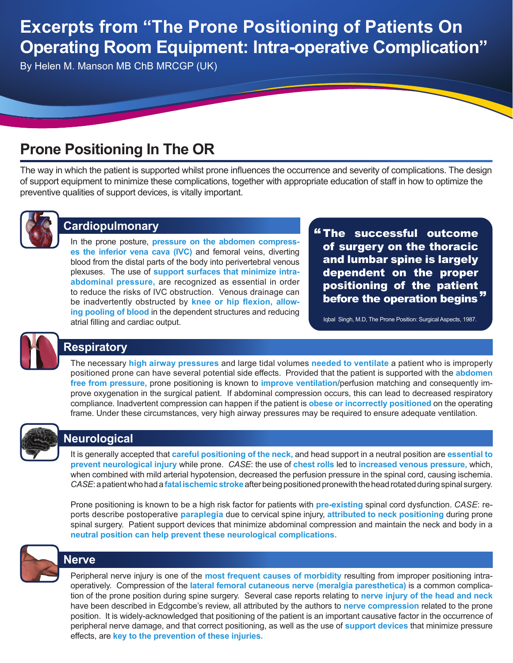# **Excerpts from "The Prone Positioning of Patients On Operating Room Equipment: Intra-operative Complication"**

By Helen M. Manson MB ChB MRCGP (UK)

# **Prone Positioning In The OR**

The way in which the patient is supported whilst prone influences the occurrence and severity of complications. The design of support equipment to minimize these complications, together with appropriate education of staff in how to optimize the preventive qualities of support devices, is vitally important.



#### **Cardiopulmonary**

In the prone posture, **pressure on the abdomen compresses the inferior vena cava (IVC)** and femoral veins, diverting blood from the distal parts of the body into perivertebral venous plexuses. The use of **support surfaces that minimize intraabdominal pressure,** are recognized as essential in order to reduce the risks of IVC obstruction. Venous drainage can be inadvertently obstructed by **knee or hip flexion, allowing pooling of blood** in the dependent structures and reducing atrial filling and cardiac output.

The successful outcome " of surgery on the thoracic and lumbar spine is largely dependent on the proper positioning of the patient .<br>before the operation begins"

Iqbal Singh, M.D, The Prone Position: Surgical Aspects, 1987.



### **Respiratory**

The necessary **high airway pressures** and large tidal volumes **needed to ventilate** a patient who is improperly positioned prone can have several potential side effects. Provided that the patient is supported with the **abdomen free from pressure,** prone positioning is known to **improve ventilation**/perfusion matching and consequently improve oxygenation in the surgical patient. If abdominal compression occurs, this can lead to decreased respiratory compliance. Inadvertent compression can happen if the patient is **obese or incorrectly positioned** on the operating frame. Under these circumstances, very high airway pressures may be required to ensure adequate ventilation.



### **Neurological**

It is generally accepted that **careful positioning of the neck,** and head support in a neutral position are **essential to prevent neurological injury** while prone. *Case*: the use of **chest rolls** led to **increased venous pressure,** which, when combined with mild arterial hypotension, decreased the perfusion pressure in the spinal cord, causing ischemia. *Case*: a patient who had a **fatal ischemic stroke** after being positioned pronewith the head rotated during spinal surgery.

Prone positioning is known to be a high risk factor for patients with **pre-existing** spinal cord dysfunction. *Case*: reports describe postoperative **paraplegia** due to cervical spine injury, **attributed to neck positioning** during prone spinal surgery. Patient support devices that minimize abdominal compression and maintain the neck and body in a **neutral position can help prevent these neurological complications.**



### **Nerve**

Peripheral nerve injury is one of the **most frequent causes of morbidity** resulting from improper positioning intraoperatively. Compression of the **lateral femoral cutaneous nerve (meralgia paresthetica)** is a common complication of the prone position during spine surgery. Several case reports relating to **nerve injury of the head and neck**  have been described in Edgcombe's review, all attributed by the authors to **nerve compression** related to the prone position. It is widely-acknowledged that positioning of the patient is an important causative factor in the occurrence of peripheral nerve damage, and that correct positioning, as well as the use of **support devices** that minimize pressure effects, are **key to the prevention of these injuries.**